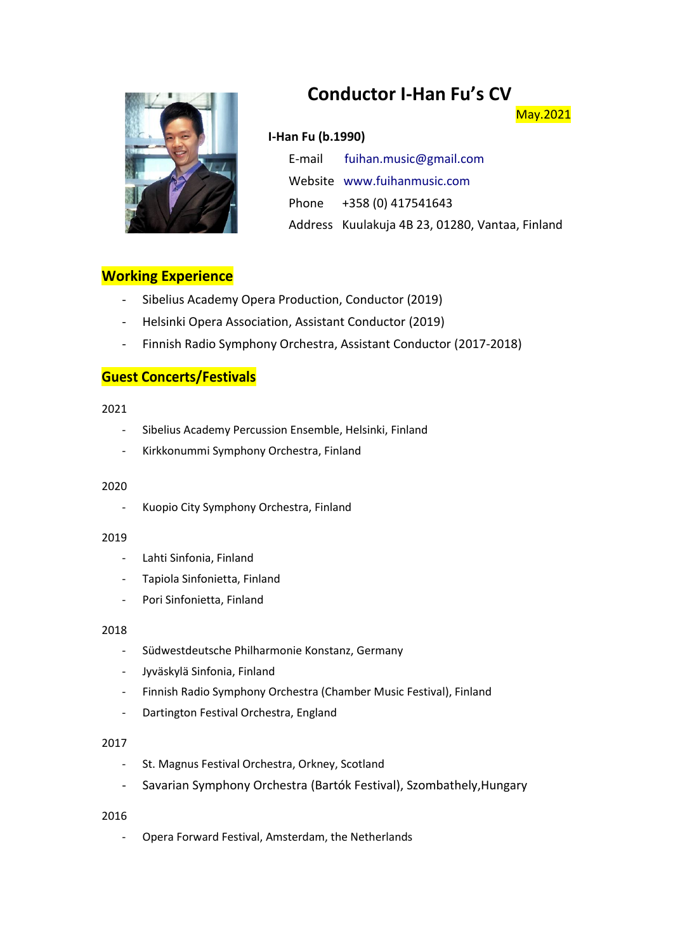# **Conductor I-Han Fu's CV**



### **I-Han Fu (b.1990)**

E-mail [fuihan.music@gmail.com](mailto:fuihan.music@gmail.com) Website [www.fuihanmusic.com](http://www.fuihanmusic.com/) Phone +358 (0) 417541643 Address Kuulakuja 4B 23, 01280, Vantaa, Finland

May.2021

### **Working Experience**

- Sibelius Academy Opera Production, Conductor (2019)
- Helsinki Opera Association, Assistant Conductor (2019)
- Finnish Radio Symphony Orchestra, Assistant Conductor (2017-2018)

## **Guest Concerts/Festivals**

#### 2021

- Sibelius Academy Percussion Ensemble, Helsinki, Finland
- Kirkkonummi Symphony Orchestra, Finland

#### 2020

- Kuopio City Symphony Orchestra, Finland

#### 2019

- Lahti Sinfonia, Finland
- Tapiola Sinfonietta, Finland
- Pori Sinfonietta, Finland

#### 2018

- Südwestdeutsche Philharmonie Konstanz, Germany
- Jyväskylä Sinfonia, Finland
- Finnish Radio Symphony Orchestra (Chamber Music Festival), Finland
- Dartington Festival Orchestra, England

#### 2017

- St. Magnus Festival Orchestra, Orkney, Scotland
- Savarian Symphony Orchestra (Bartók Festival), Szombathely,Hungary

#### 2016

- Opera Forward Festival, Amsterdam, the Netherlands